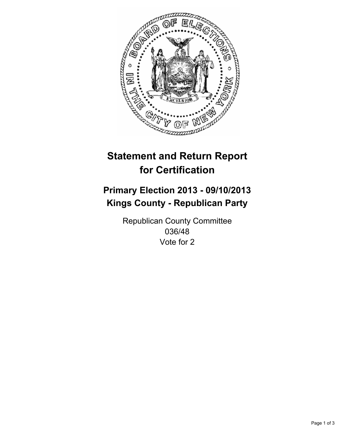

# **Statement and Return Report for Certification**

# **Primary Election 2013 - 09/10/2013 Kings County - Republican Party**

Republican County Committee 036/48 Vote for 2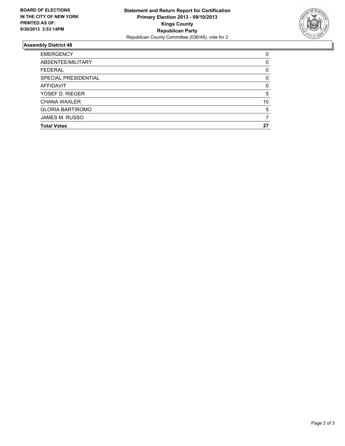

## **Assembly District 48**

| 0        |
|----------|
| 0        |
| 0        |
| $\Omega$ |
| 0        |
| 5        |
| 10       |
| 5        |
|          |
| 27       |
|          |